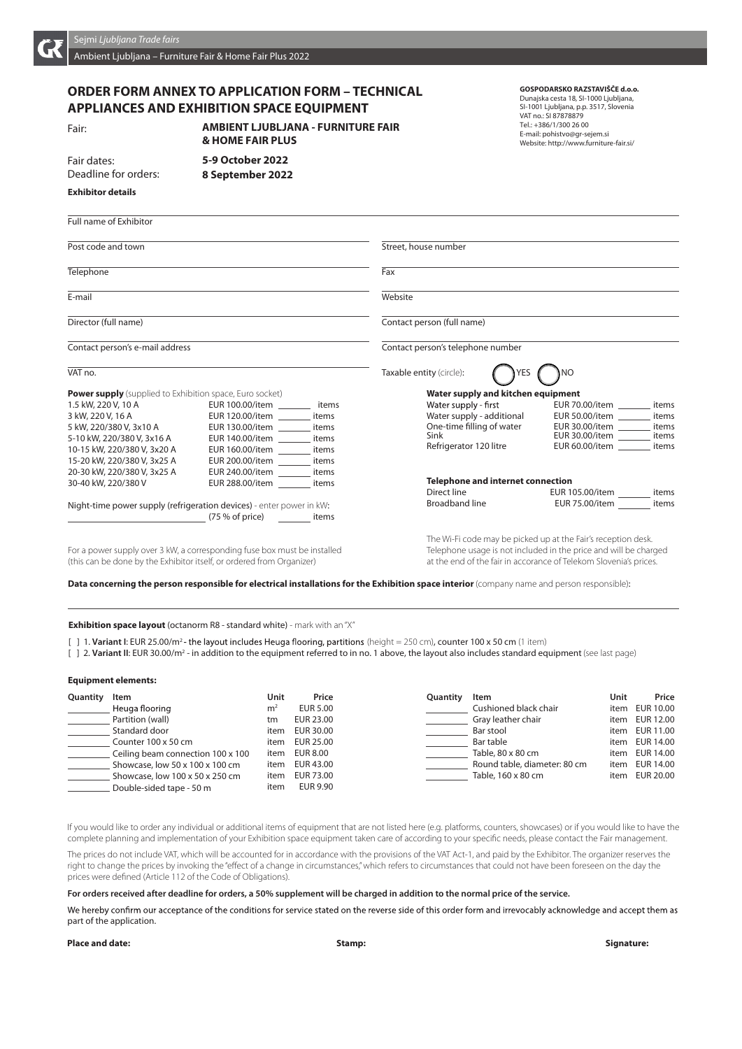

## Ambient Ljubljana – Furniture Fair & Home Fair Plus 2022

# **ORDER FORM ANNEX TO APPLICATION FORM – TECHNICAL APPLIANCES AND EXHIBITION SPACE EQUIPMENT**

Fair dates:

Deadline for orders:

**Exhibitor details**

Fair: **AMBIENT LJUBLJANA – FURNITURE FAIR 2016 AMBIENT LJUBLJANA - FURNITURE FAIR 9-13 November 2016 9 October 2016 5-9 October 2022 & HOME FAIR PLUS 8 September 2022**

# **GOSPODARSKO RAZSTAVIŠČE d.o.o.**

Dunajska cesta 18, SI-1000 Ljubljana, SI-1001 Liubliana, p.p. 3517, Slovenia VAT no.: SI 87878879 Tel.: +386/1/300 26 00 E-mail: pohistvo@gr-sejem.si Website: http://www.furniture-fair.si/

| <b>Full name of Exhibitor</b>                                            |                                 |  |                                   |                                                                  |                               |       |
|--------------------------------------------------------------------------|---------------------------------|--|-----------------------------------|------------------------------------------------------------------|-------------------------------|-------|
| Post code and town                                                       |                                 |  | Street, house number              |                                                                  |                               |       |
| Telephone                                                                |                                 |  | Fax                               |                                                                  |                               |       |
| E-mail                                                                   |                                 |  | Website                           |                                                                  |                               |       |
| Director (full name)                                                     |                                 |  |                                   | Contact person (full name)                                       |                               |       |
| Contact person's e-mail address                                          |                                 |  | Contact person's telephone number |                                                                  |                               |       |
| VAT no.                                                                  |                                 |  |                                   | Taxable entity (circle):                                         |                               |       |
| <b>Power supply</b> (supplied to Exhibition space, Euro socket)          |                                 |  |                                   | Water supply and kitchen equipment                               |                               |       |
| 1.5 kW, 220 V, 10 A                                                      | EUR 100.00/item ________ items  |  |                                   | Water supply - first                                             | EUR 70.00/item items          |       |
| 3 kW, 220 V, 16 A                                                        | EUR 120.00/item items           |  |                                   | Water supply - additional                                        | EUR 50.00/item                | items |
| 5 kW, 220/380 V, 3x10 A                                                  | EUR 130.00/item items           |  |                                   | One-time filling of water                                        | EUR 30.00/item ________ items |       |
| 5-10 kW, 220/380 V, 3x16 A                                               | EUR 140.00/item _________ items |  |                                   | Sink                                                             | EUR 30.00/item items          |       |
| 10-15 kW, 220/380 V, 3x20 A                                              | EUR 160.00/item items           |  |                                   | Refrigerator 120 litre                                           | EUR 60.00/item items          |       |
| 15-20 kW, 220/380 V, 3x25 A                                              | EUR 200.00/item ________ items  |  |                                   |                                                                  |                               |       |
| 20-30 kW, 220/380 V, 3x25 A                                              | EUR 240.00/item ________ items  |  |                                   |                                                                  |                               |       |
| 30-40 kW, 220/380 V                                                      | EUR 288.00/item items           |  |                                   | <b>Telephone and internet connection</b>                         |                               |       |
|                                                                          |                                 |  |                                   | Direct line                                                      | EUR 105.00/item items         |       |
| Night-time power supply (refrigeration devices) - enter power in kW:     |                                 |  |                                   | Broadband line <b>Example 20</b>                                 | EUR 75.00/item items          |       |
| (75 % of price) items                                                    |                                 |  |                                   |                                                                  |                               |       |
|                                                                          |                                 |  |                                   | The Wi-Fi code may be picked up at the Fair's reception desk.    |                               |       |
| For a power supply over 3 kW, a corresponding fuse box must be installed |                                 |  |                                   | Telephone usage is not included in the price and will be charged |                               |       |

(this can be done by the Exhibitor itself, or ordered from Organizer) at the end of the fair in accorance of Telekom Slovenia's prices.

**Data concerning the person responsible for electrical installations for the Exhibition space interior** (company name and person responsible):

**Exhibition space layout** (octanorm R8 - standard white) - mark with an "X"

[ ] 1. Variant I: EUR 25.00/m<sup>2</sup> - the layout includes Heuga flooring, partitions (height = 250 cm), counter 100 x 50 cm (1 item)

[ ] 2. Variant II: EUR 30.00/m<sup>2</sup> - in addition to the equipment referred to in no. 1 above, the layout also includes standard equipment (see last page)

#### **Equipment elements:**

| Quantity | Item                              | Unit           | Price     | Quantity | Item                         | Unit | Price          |
|----------|-----------------------------------|----------------|-----------|----------|------------------------------|------|----------------|
|          | Heuga flooring                    | m <sup>2</sup> | EUR 5.00  |          | Cushioned black chair        |      | item EUR 10.00 |
|          | Partition (wall)                  | tm             | EUR 23.00 |          | Gray leather chair           |      | item EUR 12.00 |
|          | Standard door                     | item           | EUR 30.00 |          | Bar stool                    |      | item EUR 11.00 |
|          | Counter 100 x 50 cm               | item           | EUR 25.00 |          | Bar table                    |      | item EUR 14.00 |
|          | Ceiling beam connection 100 x 100 | item           | EUR 8.00  |          | Table, 80 x 80 cm            |      | item EUR 14.00 |
|          | Showcase, low 50 x 100 x 100 cm   | item           | EUR 43.00 |          | Round table, diameter: 80 cm | item | EUR 14.00      |
|          | Showcase, low 100 x 50 x 250 cm   | item           | EUR 73.00 |          | Table, 160 x 80 cm           |      | item EUR 20.00 |
|          | Double-sided tape - 50 m          | item           | EUR 9.90  |          |                              |      |                |

If you would like to order any individual or additional items of equipment that are not listed here (e.g. platforms, counters, showcases) or if you would like to have the complete planning and implementation of your Exhibition space equipment taken care of according to your specific needs, please contact the Fair management.

The prices do not include VAT, which will be accounted for in accordance with the provisions of the VAT Act-1, and paid by the Exhibitor. The organizer reserves the right to change the prices by invoking the "effect of a change in circumstances," which refers to circumstances that could not have been foreseen on the day the prices were defined (Article 112 of the Code of Obligations).

**For orders received after deadline for orders, a 50% supplement will be charged in addition to the normal price of the service.**

We hereby confirm our acceptance of the conditions for service stated on the reverse side of this order form and irrevocably acknowledge and accept them as part of the application.

#### **Place and date: Stamp: Signature:**